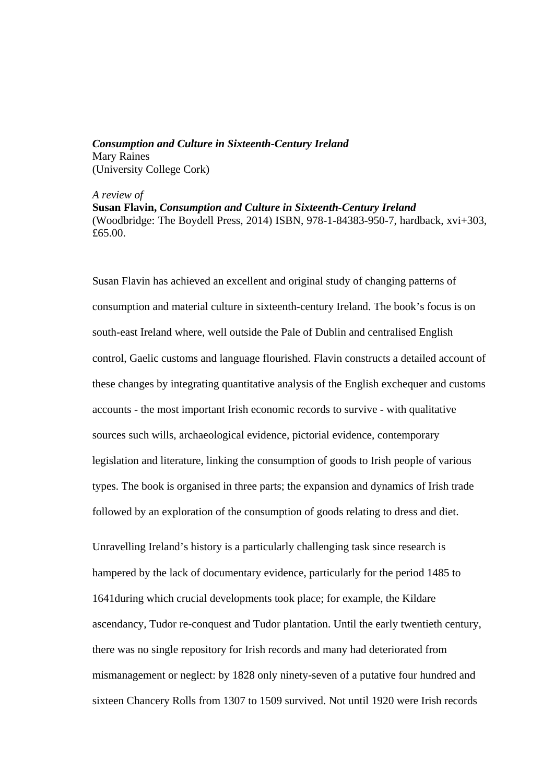*Consumption and Culture in Sixteenth-Century Ireland* Mary Raines (University College Cork)

*A review of* 

**Susan Flavin,** *Consumption and Culture in Sixteenth-Century Ireland* (Woodbridge: The Boydell Press, 2014) ISBN, 978-1-84383-950-7, hardback, xvi+303, £65.00.

Susan Flavin has achieved an excellent and original study of changing patterns of consumption and material culture in sixteenth-century Ireland. The book's focus is on south-east Ireland where, well outside the Pale of Dublin and centralised English control, Gaelic customs and language flourished. Flavin constructs a detailed account of these changes by integrating quantitative analysis of the English exchequer and customs accounts - the most important Irish economic records to survive - with qualitative sources such wills, archaeological evidence, pictorial evidence, contemporary legislation and literature, linking the consumption of goods to Irish people of various types. The book is organised in three parts; the expansion and dynamics of Irish trade followed by an exploration of the consumption of goods relating to dress and diet.

Unravelling Ireland's history is a particularly challenging task since research is hampered by the lack of documentary evidence, particularly for the period 1485 to 1641during which crucial developments took place; for example, the Kildare ascendancy, Tudor re-conquest and Tudor plantation. Until the early twentieth century, there was no single repository for Irish records and many had deteriorated from mismanagement or neglect: by 1828 only ninety-seven of a putative four hundred and sixteen Chancery Rolls from 1307 to 1509 survived. Not until 1920 were Irish records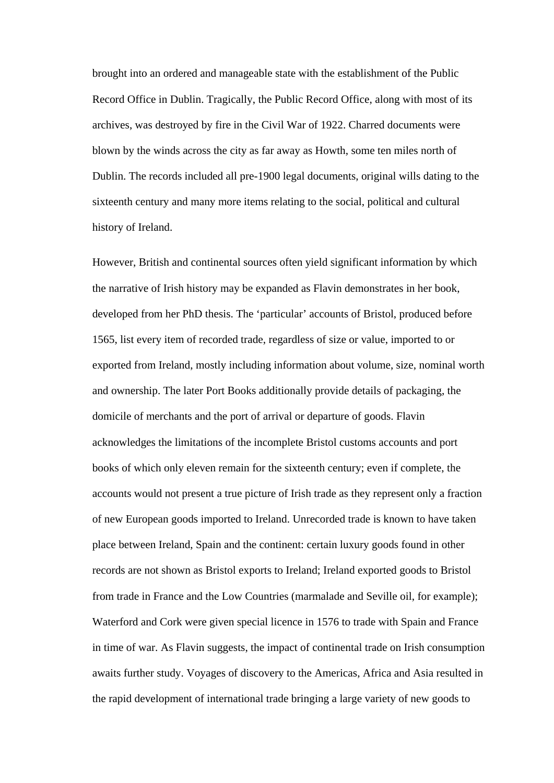brought into an ordered and manageable state with the establishment of the Public Record Office in Dublin. Tragically, the Public Record Office, along with most of its archives, was destroyed by fire in the Civil War of 1922. Charred documents were blown by the winds across the city as far away as Howth, some ten miles north of Dublin. The records included all pre-1900 legal documents, original wills dating to the sixteenth century and many more items relating to the social, political and cultural history of Ireland.

However, British and continental sources often yield significant information by which the narrative of Irish history may be expanded as Flavin demonstrates in her book, developed from her PhD thesis. The 'particular' accounts of Bristol, produced before 1565, list every item of recorded trade, regardless of size or value, imported to or exported from Ireland, mostly including information about volume, size, nominal worth and ownership. The later Port Books additionally provide details of packaging, the domicile of merchants and the port of arrival or departure of goods. Flavin acknowledges the limitations of the incomplete Bristol customs accounts and port books of which only eleven remain for the sixteenth century; even if complete, the accounts would not present a true picture of Irish trade as they represent only a fraction of new European goods imported to Ireland. Unrecorded trade is known to have taken place between Ireland, Spain and the continent: certain luxury goods found in other records are not shown as Bristol exports to Ireland; Ireland exported goods to Bristol from trade in France and the Low Countries (marmalade and Seville oil, for example); Waterford and Cork were given special licence in 1576 to trade with Spain and France in time of war. As Flavin suggests, the impact of continental trade on Irish consumption awaits further study. Voyages of discovery to the Americas, Africa and Asia resulted in the rapid development of international trade bringing a large variety of new goods to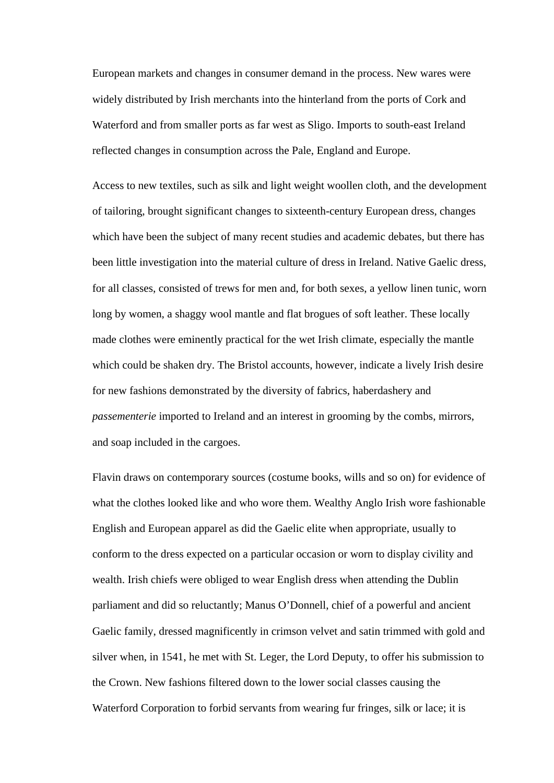European markets and changes in consumer demand in the process. New wares were widely distributed by Irish merchants into the hinterland from the ports of Cork and Waterford and from smaller ports as far west as Sligo. Imports to south-east Ireland reflected changes in consumption across the Pale, England and Europe.

Access to new textiles, such as silk and light weight woollen cloth, and the development of tailoring, brought significant changes to sixteenth-century European dress, changes which have been the subject of many recent studies and academic debates, but there has been little investigation into the material culture of dress in Ireland. Native Gaelic dress, for all classes, consisted of trews for men and, for both sexes, a yellow linen tunic, worn long by women, a shaggy wool mantle and flat brogues of soft leather. These locally made clothes were eminently practical for the wet Irish climate, especially the mantle which could be shaken dry. The Bristol accounts, however, indicate a lively Irish desire for new fashions demonstrated by the diversity of fabrics, haberdashery and *passementerie* imported to Ireland and an interest in grooming by the combs, mirrors, and soap included in the cargoes.

Flavin draws on contemporary sources (costume books, wills and so on) for evidence of what the clothes looked like and who wore them. Wealthy Anglo Irish wore fashionable English and European apparel as did the Gaelic elite when appropriate, usually to conform to the dress expected on a particular occasion or worn to display civility and wealth. Irish chiefs were obliged to wear English dress when attending the Dublin parliament and did so reluctantly; Manus O'Donnell, chief of a powerful and ancient Gaelic family, dressed magnificently in crimson velvet and satin trimmed with gold and silver when, in 1541, he met with St. Leger, the Lord Deputy, to offer his submission to the Crown. New fashions filtered down to the lower social classes causing the Waterford Corporation to forbid servants from wearing fur fringes, silk or lace; it is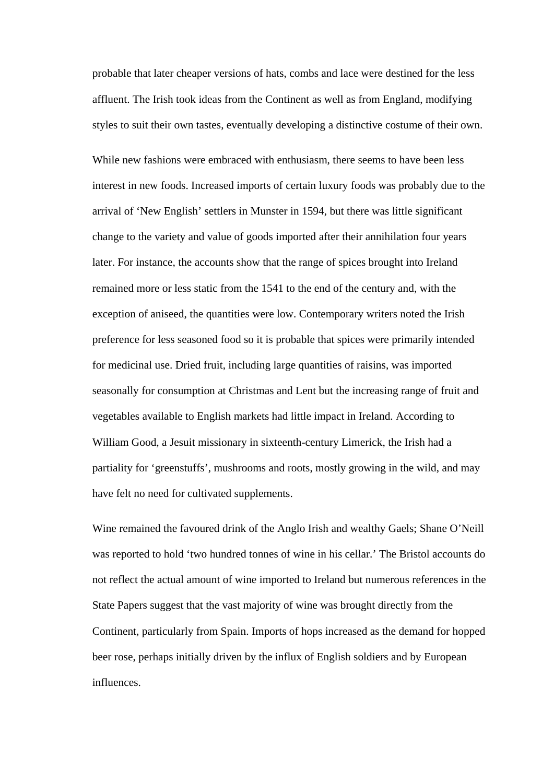probable that later cheaper versions of hats, combs and lace were destined for the less affluent. The Irish took ideas from the Continent as well as from England, modifying styles to suit their own tastes, eventually developing a distinctive costume of their own.

While new fashions were embraced with enthusiasm, there seems to have been less interest in new foods. Increased imports of certain luxury foods was probably due to the arrival of 'New English' settlers in Munster in 1594, but there was little significant change to the variety and value of goods imported after their annihilation four years later. For instance, the accounts show that the range of spices brought into Ireland remained more or less static from the 1541 to the end of the century and, with the exception of aniseed, the quantities were low. Contemporary writers noted the Irish preference for less seasoned food so it is probable that spices were primarily intended for medicinal use. Dried fruit, including large quantities of raisins, was imported seasonally for consumption at Christmas and Lent but the increasing range of fruit and vegetables available to English markets had little impact in Ireland. According to William Good, a Jesuit missionary in sixteenth-century Limerick, the Irish had a partiality for 'greenstuffs', mushrooms and roots, mostly growing in the wild, and may have felt no need for cultivated supplements.

Wine remained the favoured drink of the Anglo Irish and wealthy Gaels; Shane O'Neill was reported to hold 'two hundred tonnes of wine in his cellar.' The Bristol accounts do not reflect the actual amount of wine imported to Ireland but numerous references in the State Papers suggest that the vast majority of wine was brought directly from the Continent, particularly from Spain. Imports of hops increased as the demand for hopped beer rose, perhaps initially driven by the influx of English soldiers and by European influences.